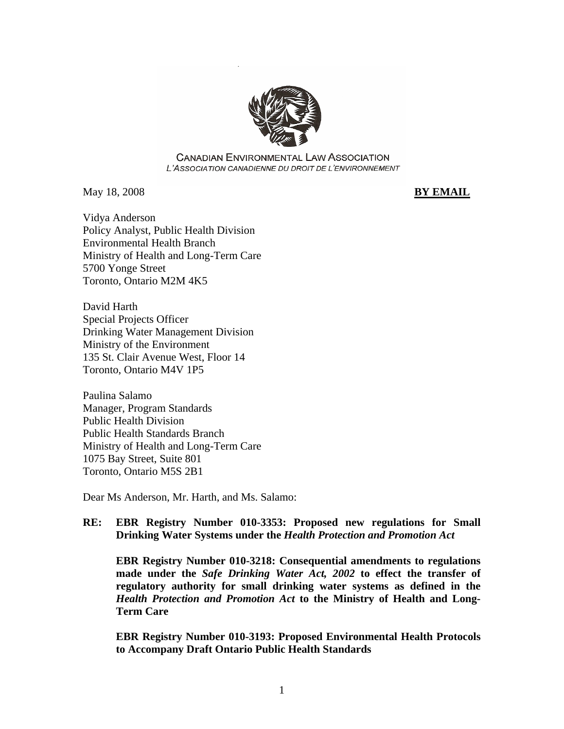

**CANADIAN ENVIRONMENTAL LAW ASSOCIATION** L'ASSOCIATION CANADIENNE DU DROIT DE L'ENVIRONNEMENT

May 18, 2008 **BY EMAIL**

Vidya Anderson Policy Analyst, Public Health Division Environmental Health Branch Ministry of Health and Long-Term Care 5700 Yonge Street Toronto, Ontario M2M 4K5

David Harth Special Projects Officer Drinking Water Management Division Ministry of the Environment 135 St. Clair Avenue West, Floor 14 Toronto, Ontario M4V 1P5

Paulina Salamo Manager, Program Standards Public Health Division Public Health Standards Branch Ministry of Health and Long-Term Care 1075 Bay Street, Suite 801 Toronto, Ontario M5S 2B1

Dear Ms Anderson, Mr. Harth, and Ms. Salamo:

## **RE: EBR Registry Number 010-3353: Proposed new regulations for Small Drinking Water Systems under the** *Health Protection and Promotion Act*

**EBR Registry Number 010-3218: Consequential amendments to regulations made under the** *Safe Drinking Water Act, 2002* **to effect the transfer of regulatory authority for small drinking water systems as defined in the**  *Health Protection and Promotion Act* **to the Ministry of Health and Long-Term Care** 

**EBR Registry Number 010-3193: Proposed Environmental Health Protocols to Accompany Draft Ontario Public Health Standards**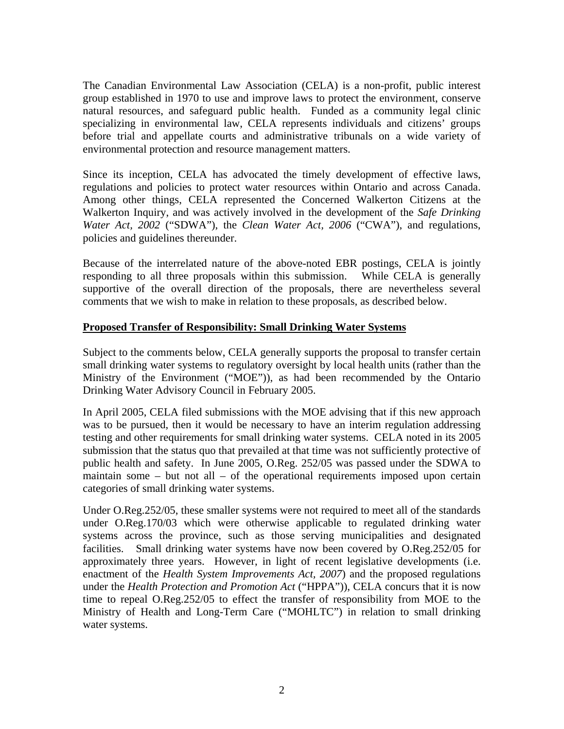The Canadian Environmental Law Association (CELA) is a non-profit, public interest group established in 1970 to use and improve laws to protect the environment, conserve natural resources, and safeguard public health. Funded as a community legal clinic specializing in environmental law, CELA represents individuals and citizens' groups before trial and appellate courts and administrative tribunals on a wide variety of environmental protection and resource management matters.

Since its inception, CELA has advocated the timely development of effective laws, regulations and policies to protect water resources within Ontario and across Canada. Among other things, CELA represented the Concerned Walkerton Citizens at the Walkerton Inquiry, and was actively involved in the development of the *Safe Drinking Water Act, 2002* ("SDWA"), the *Clean Water Act, 2006* ("CWA"), and regulations, policies and guidelines thereunder.

Because of the interrelated nature of the above-noted EBR postings, CELA is jointly responding to all three proposals within this submission. While CELA is generally supportive of the overall direction of the proposals, there are nevertheless several comments that we wish to make in relation to these proposals, as described below.

## **Proposed Transfer of Responsibility: Small Drinking Water Systems**

Subject to the comments below, CELA generally supports the proposal to transfer certain small drinking water systems to regulatory oversight by local health units (rather than the Ministry of the Environment ("MOE")), as had been recommended by the Ontario Drinking Water Advisory Council in February 2005.

In April 2005, CELA filed submissions with the MOE advising that if this new approach was to be pursued, then it would be necessary to have an interim regulation addressing testing and other requirements for small drinking water systems. CELA noted in its 2005 submission that the status quo that prevailed at that time was not sufficiently protective of public health and safety. In June 2005, O.Reg. 252/05 was passed under the SDWA to maintain some – but not all – of the operational requirements imposed upon certain categories of small drinking water systems.

Under O.Reg.252/05, these smaller systems were not required to meet all of the standards under O.Reg.170/03 which were otherwise applicable to regulated drinking water systems across the province, such as those serving municipalities and designated facilities. Small drinking water systems have now been covered by O.Reg.252/05 for approximately three years. However, in light of recent legislative developments (i.e. enactment of the *Health System Improvements Act, 2007*) and the proposed regulations under the *Health Protection and Promotion Act* ("HPPA")), CELA concurs that it is now time to repeal O.Reg.252/05 to effect the transfer of responsibility from MOE to the Ministry of Health and Long-Term Care ("MOHLTC") in relation to small drinking water systems.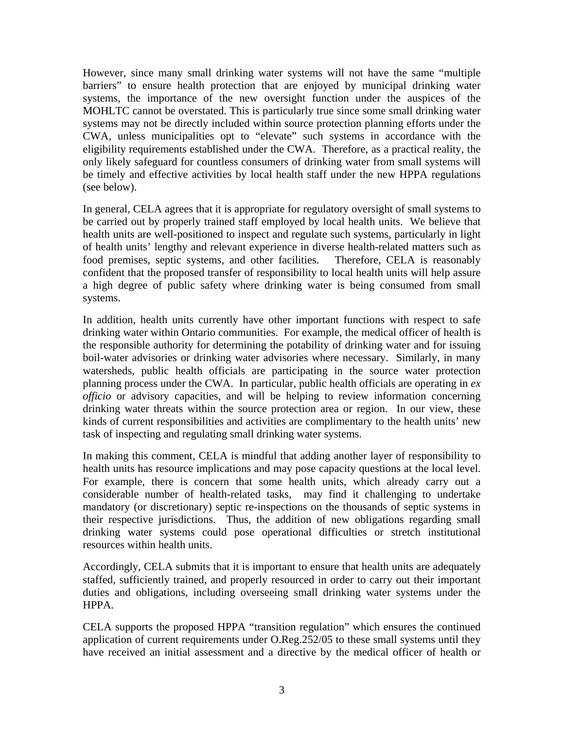However, since many small drinking water systems will not have the same "multiple barriers" to ensure health protection that are enjoyed by municipal drinking water systems, the importance of the new oversight function under the auspices of the MOHLTC cannot be overstated. This is particularly true since some small drinking water systems may not be directly included within source protection planning efforts under the CWA, unless municipalities opt to "elevate" such systems in accordance with the eligibility requirements established under the CWA. Therefore, as a practical reality, the only likely safeguard for countless consumers of drinking water from small systems will be timely and effective activities by local health staff under the new HPPA regulations (see below).

In general, CELA agrees that it is appropriate for regulatory oversight of small systems to be carried out by properly trained staff employed by local health units. We believe that health units are well-positioned to inspect and regulate such systems, particularly in light of health units' lengthy and relevant experience in diverse health-related matters such as food premises, septic systems, and other facilities. Therefore, CELA is reasonably confident that the proposed transfer of responsibility to local health units will help assure a high degree of public safety where drinking water is being consumed from small systems.

In addition, health units currently have other important functions with respect to safe drinking water within Ontario communities. For example, the medical officer of health is the responsible authority for determining the potability of drinking water and for issuing boil-water advisories or drinking water advisories where necessary. Similarly, in many watersheds, public health officials are participating in the source water protection planning process under the CWA. In particular, public health officials are operating in *ex officio* or advisory capacities, and will be helping to review information concerning drinking water threats within the source protection area or region. In our view, these kinds of current responsibilities and activities are complimentary to the health units' new task of inspecting and regulating small drinking water systems.

In making this comment, CELA is mindful that adding another layer of responsibility to health units has resource implications and may pose capacity questions at the local level. For example, there is concern that some health units, which already carry out a considerable number of health-related tasks, may find it challenging to undertake mandatory (or discretionary) septic re-inspections on the thousands of septic systems in their respective jurisdictions. Thus, the addition of new obligations regarding small drinking water systems could pose operational difficulties or stretch institutional resources within health units.

Accordingly, CELA submits that it is important to ensure that health units are adequately staffed, sufficiently trained, and properly resourced in order to carry out their important duties and obligations, including overseeing small drinking water systems under the HPPA.

CELA supports the proposed HPPA "transition regulation" which ensures the continued application of current requirements under O.Reg.252/05 to these small systems until they have received an initial assessment and a directive by the medical officer of health or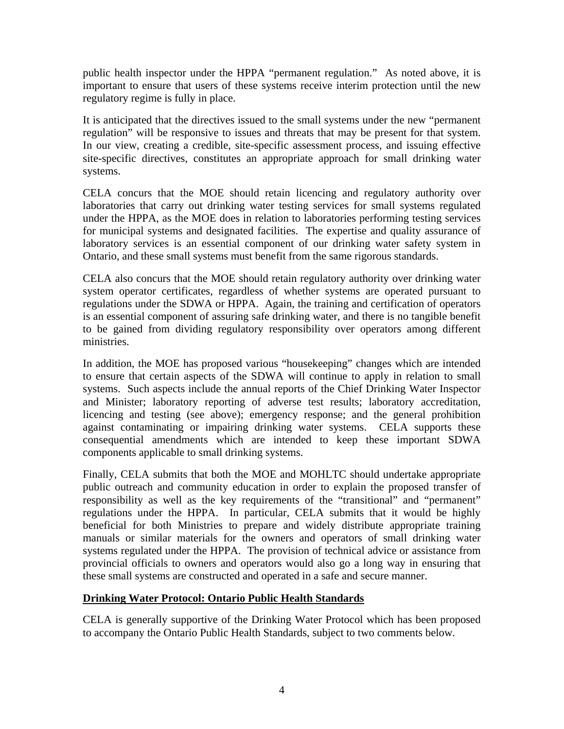public health inspector under the HPPA "permanent regulation." As noted above, it is important to ensure that users of these systems receive interim protection until the new regulatory regime is fully in place.

It is anticipated that the directives issued to the small systems under the new "permanent regulation" will be responsive to issues and threats that may be present for that system. In our view, creating a credible, site-specific assessment process, and issuing effective site-specific directives, constitutes an appropriate approach for small drinking water systems.

CELA concurs that the MOE should retain licencing and regulatory authority over laboratories that carry out drinking water testing services for small systems regulated under the HPPA, as the MOE does in relation to laboratories performing testing services for municipal systems and designated facilities. The expertise and quality assurance of laboratory services is an essential component of our drinking water safety system in Ontario, and these small systems must benefit from the same rigorous standards.

CELA also concurs that the MOE should retain regulatory authority over drinking water system operator certificates, regardless of whether systems are operated pursuant to regulations under the SDWA or HPPA. Again, the training and certification of operators is an essential component of assuring safe drinking water, and there is no tangible benefit to be gained from dividing regulatory responsibility over operators among different ministries.

In addition, the MOE has proposed various "housekeeping" changes which are intended to ensure that certain aspects of the SDWA will continue to apply in relation to small systems. Such aspects include the annual reports of the Chief Drinking Water Inspector and Minister; laboratory reporting of adverse test results; laboratory accreditation, licencing and testing (see above); emergency response; and the general prohibition against contaminating or impairing drinking water systems. CELA supports these consequential amendments which are intended to keep these important SDWA components applicable to small drinking systems.

Finally, CELA submits that both the MOE and MOHLTC should undertake appropriate public outreach and community education in order to explain the proposed transfer of responsibility as well as the key requirements of the "transitional" and "permanent" regulations under the HPPA. In particular, CELA submits that it would be highly beneficial for both Ministries to prepare and widely distribute appropriate training manuals or similar materials for the owners and operators of small drinking water systems regulated under the HPPA. The provision of technical advice or assistance from provincial officials to owners and operators would also go a long way in ensuring that these small systems are constructed and operated in a safe and secure manner.

## **Drinking Water Protocol: Ontario Public Health Standards**

CELA is generally supportive of the Drinking Water Protocol which has been proposed to accompany the Ontario Public Health Standards, subject to two comments below.